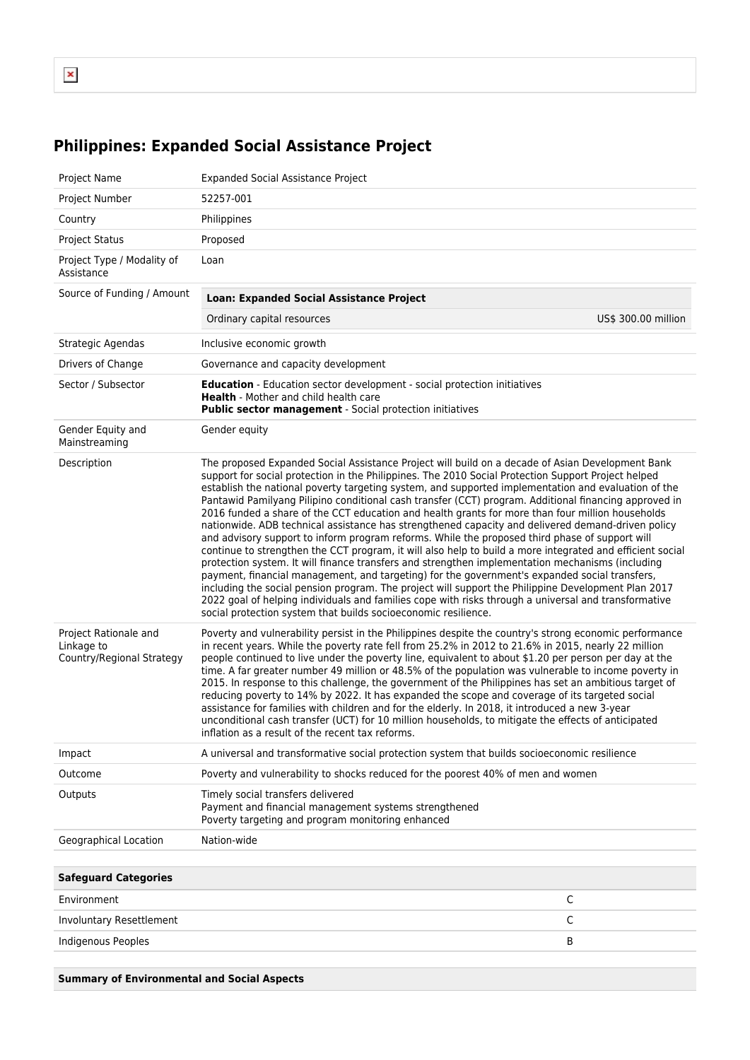## **Philippines: Expanded Social Assistance Project**

| Project Name                                                     | <b>Expanded Social Assistance Project</b>                                                                                                                                                                                                                                                                                                                                                                                                                                                                                                                                                                                                                                                                                                                                                                                                                                                                                                                                                                                                                                                                                                                                                                                                                                                                                             |                     |
|------------------------------------------------------------------|---------------------------------------------------------------------------------------------------------------------------------------------------------------------------------------------------------------------------------------------------------------------------------------------------------------------------------------------------------------------------------------------------------------------------------------------------------------------------------------------------------------------------------------------------------------------------------------------------------------------------------------------------------------------------------------------------------------------------------------------------------------------------------------------------------------------------------------------------------------------------------------------------------------------------------------------------------------------------------------------------------------------------------------------------------------------------------------------------------------------------------------------------------------------------------------------------------------------------------------------------------------------------------------------------------------------------------------|---------------------|
| Project Number                                                   | 52257-001                                                                                                                                                                                                                                                                                                                                                                                                                                                                                                                                                                                                                                                                                                                                                                                                                                                                                                                                                                                                                                                                                                                                                                                                                                                                                                                             |                     |
| Country                                                          | Philippines                                                                                                                                                                                                                                                                                                                                                                                                                                                                                                                                                                                                                                                                                                                                                                                                                                                                                                                                                                                                                                                                                                                                                                                                                                                                                                                           |                     |
| <b>Project Status</b>                                            | Proposed                                                                                                                                                                                                                                                                                                                                                                                                                                                                                                                                                                                                                                                                                                                                                                                                                                                                                                                                                                                                                                                                                                                                                                                                                                                                                                                              |                     |
| Project Type / Modality of<br>Assistance                         | Loan                                                                                                                                                                                                                                                                                                                                                                                                                                                                                                                                                                                                                                                                                                                                                                                                                                                                                                                                                                                                                                                                                                                                                                                                                                                                                                                                  |                     |
| Source of Funding / Amount                                       | Loan: Expanded Social Assistance Project                                                                                                                                                                                                                                                                                                                                                                                                                                                                                                                                                                                                                                                                                                                                                                                                                                                                                                                                                                                                                                                                                                                                                                                                                                                                                              |                     |
|                                                                  | Ordinary capital resources                                                                                                                                                                                                                                                                                                                                                                                                                                                                                                                                                                                                                                                                                                                                                                                                                                                                                                                                                                                                                                                                                                                                                                                                                                                                                                            | US\$ 300.00 million |
| Strategic Agendas                                                | Inclusive economic growth                                                                                                                                                                                                                                                                                                                                                                                                                                                                                                                                                                                                                                                                                                                                                                                                                                                                                                                                                                                                                                                                                                                                                                                                                                                                                                             |                     |
| Drivers of Change                                                | Governance and capacity development                                                                                                                                                                                                                                                                                                                                                                                                                                                                                                                                                                                                                                                                                                                                                                                                                                                                                                                                                                                                                                                                                                                                                                                                                                                                                                   |                     |
| Sector / Subsector                                               | Education - Education sector development - social protection initiatives<br><b>Health</b> - Mother and child health care<br>Public sector management - Social protection initiatives                                                                                                                                                                                                                                                                                                                                                                                                                                                                                                                                                                                                                                                                                                                                                                                                                                                                                                                                                                                                                                                                                                                                                  |                     |
| Gender Equity and<br>Mainstreaming                               | Gender equity                                                                                                                                                                                                                                                                                                                                                                                                                                                                                                                                                                                                                                                                                                                                                                                                                                                                                                                                                                                                                                                                                                                                                                                                                                                                                                                         |                     |
| Description                                                      | The proposed Expanded Social Assistance Project will build on a decade of Asian Development Bank<br>support for social protection in the Philippines. The 2010 Social Protection Support Project helped<br>establish the national poverty targeting system, and supported implementation and evaluation of the<br>Pantawid Pamilyang Pilipino conditional cash transfer (CCT) program. Additional financing approved in<br>2016 funded a share of the CCT education and health grants for more than four million households<br>nationwide. ADB technical assistance has strengthened capacity and delivered demand-driven policy<br>and advisory support to inform program reforms. While the proposed third phase of support will<br>continue to strengthen the CCT program, it will also help to build a more integrated and efficient social<br>protection system. It will finance transfers and strengthen implementation mechanisms (including<br>payment, financial management, and targeting) for the government's expanded social transfers,<br>including the social pension program. The project will support the Philippine Development Plan 2017<br>2022 goal of helping individuals and families cope with risks through a universal and transformative<br>social protection system that builds socioeconomic resilience. |                     |
| Project Rationale and<br>Linkage to<br>Country/Regional Strategy | Poverty and vulnerability persist in the Philippines despite the country's strong economic performance<br>in recent years. While the poverty rate fell from 25.2% in 2012 to 21.6% in 2015, nearly 22 million<br>people continued to live under the poverty line, equivalent to about \$1.20 per person per day at the<br>time. A far greater number 49 million or 48.5% of the population was vulnerable to income poverty in<br>2015. In response to this challenge, the government of the Philippines has set an ambitious target of<br>reducing poverty to 14% by 2022. It has expanded the scope and coverage of its targeted social<br>assistance for families with children and for the elderly. In 2018, it introduced a new 3-year<br>unconditional cash transfer (UCT) for 10 million households, to mitigate the effects of anticipated<br>inflation as a result of the recent tax reforms.                                                                                                                                                                                                                                                                                                                                                                                                                                |                     |
| Impact                                                           | A universal and transformative social protection system that builds socioeconomic resilience                                                                                                                                                                                                                                                                                                                                                                                                                                                                                                                                                                                                                                                                                                                                                                                                                                                                                                                                                                                                                                                                                                                                                                                                                                          |                     |
| Outcome                                                          | Poverty and vulnerability to shocks reduced for the poorest 40% of men and women                                                                                                                                                                                                                                                                                                                                                                                                                                                                                                                                                                                                                                                                                                                                                                                                                                                                                                                                                                                                                                                                                                                                                                                                                                                      |                     |
| Outputs                                                          | Timely social transfers delivered<br>Payment and financial management systems strengthened<br>Poverty targeting and program monitoring enhanced                                                                                                                                                                                                                                                                                                                                                                                                                                                                                                                                                                                                                                                                                                                                                                                                                                                                                                                                                                                                                                                                                                                                                                                       |                     |
| Geographical Location                                            | Nation-wide                                                                                                                                                                                                                                                                                                                                                                                                                                                                                                                                                                                                                                                                                                                                                                                                                                                                                                                                                                                                                                                                                                                                                                                                                                                                                                                           |                     |
|                                                                  |                                                                                                                                                                                                                                                                                                                                                                                                                                                                                                                                                                                                                                                                                                                                                                                                                                                                                                                                                                                                                                                                                                                                                                                                                                                                                                                                       |                     |
| <b>Safeguard Categories</b>                                      |                                                                                                                                                                                                                                                                                                                                                                                                                                                                                                                                                                                                                                                                                                                                                                                                                                                                                                                                                                                                                                                                                                                                                                                                                                                                                                                                       |                     |
| Environment                                                      |                                                                                                                                                                                                                                                                                                                                                                                                                                                                                                                                                                                                                                                                                                                                                                                                                                                                                                                                                                                                                                                                                                                                                                                                                                                                                                                                       | C                   |
| Involuntary Resettlement                                         |                                                                                                                                                                                                                                                                                                                                                                                                                                                                                                                                                                                                                                                                                                                                                                                                                                                                                                                                                                                                                                                                                                                                                                                                                                                                                                                                       | C                   |
| Indigenous Peoples                                               |                                                                                                                                                                                                                                                                                                                                                                                                                                                                                                                                                                                                                                                                                                                                                                                                                                                                                                                                                                                                                                                                                                                                                                                                                                                                                                                                       | В                   |
|                                                                  |                                                                                                                                                                                                                                                                                                                                                                                                                                                                                                                                                                                                                                                                                                                                                                                                                                                                                                                                                                                                                                                                                                                                                                                                                                                                                                                                       |                     |

**Summary of Environmental and Social Aspects**